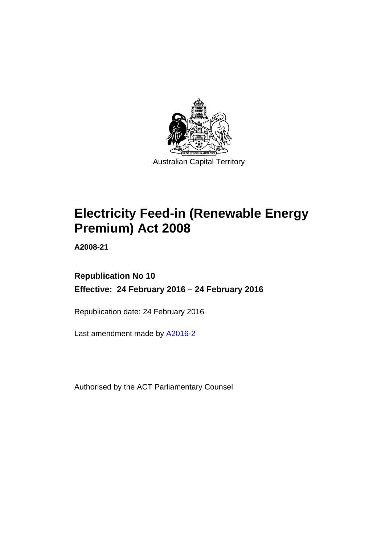

# **Electricity Feed-in (Renewable Energy Premium) Act 2008**

**A2008-21** 

# **Republication No 10 Effective: 24 February 2016 – 24 February 2016**

Republication date: 24 February 2016

Last amendment made by [A2016-2](http://www.legislation.act.gov.au/a/2016-2)

Authorised by the ACT Parliamentary Counsel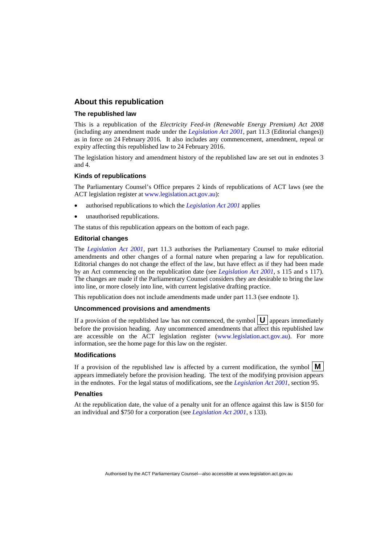### **About this republication**

#### **The republished law**

This is a republication of the *Electricity Feed-in (Renewable Energy Premium) Act 2008* (including any amendment made under the *[Legislation Act 2001](http://www.legislation.act.gov.au/a/2001-14)*, part 11.3 (Editorial changes)) as in force on 24 February 2016*.* It also includes any commencement, amendment, repeal or expiry affecting this republished law to 24 February 2016.

The legislation history and amendment history of the republished law are set out in endnotes 3 and 4.

#### **Kinds of republications**

The Parliamentary Counsel's Office prepares 2 kinds of republications of ACT laws (see the ACT legislation register at [www.legislation.act.gov.au](http://www.legislation.act.gov.au/)):

- authorised republications to which the *[Legislation Act 2001](http://www.legislation.act.gov.au/a/2001-14)* applies
- unauthorised republications.

The status of this republication appears on the bottom of each page.

#### **Editorial changes**

The *[Legislation Act 2001](http://www.legislation.act.gov.au/a/2001-14)*, part 11.3 authorises the Parliamentary Counsel to make editorial amendments and other changes of a formal nature when preparing a law for republication. Editorial changes do not change the effect of the law, but have effect as if they had been made by an Act commencing on the republication date (see *[Legislation Act 2001](http://www.legislation.act.gov.au/a/2001-14)*, s 115 and s 117). The changes are made if the Parliamentary Counsel considers they are desirable to bring the law into line, or more closely into line, with current legislative drafting practice.

This republication does not include amendments made under part 11.3 (see endnote 1).

#### **Uncommenced provisions and amendments**

If a provision of the republished law has not commenced, the symbol  $\mathbf{U}$  appears immediately before the provision heading. Any uncommenced amendments that affect this republished law are accessible on the ACT legislation register [\(www.legislation.act.gov.au\)](http://www.legislation.act.gov.au/). For more information, see the home page for this law on the register.

#### **Modifications**

If a provision of the republished law is affected by a current modification, the symbol  $\mathbf{M}$ appears immediately before the provision heading. The text of the modifying provision appears in the endnotes. For the legal status of modifications, see the *[Legislation Act 2001](http://www.legislation.act.gov.au/a/2001-14)*, section 95.

#### **Penalties**

At the republication date, the value of a penalty unit for an offence against this law is \$150 for an individual and \$750 for a corporation (see *[Legislation Act 2001](http://www.legislation.act.gov.au/a/2001-14)*, s 133).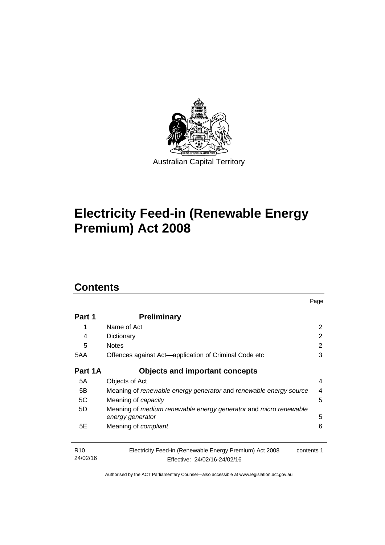

# **Electricity Feed-in (Renewable Energy Premium) Act 2008**

# **Contents**

| Part 1                      | <b>Preliminary</b>                                                                                    |   |  |
|-----------------------------|-------------------------------------------------------------------------------------------------------|---|--|
| 1                           | Name of Act                                                                                           | 2 |  |
| 4                           | Dictionary                                                                                            | 2 |  |
| 5                           | <b>Notes</b>                                                                                          | 2 |  |
| 5AA                         | Offences against Act—application of Criminal Code etc                                                 |   |  |
| Part 1A                     | <b>Objects and important concepts</b>                                                                 |   |  |
| 5A                          | Objects of Act                                                                                        | 4 |  |
| 5B                          | Meaning of renewable energy generator and renewable energy source                                     | 4 |  |
| 5C                          | Meaning of <i>capacity</i>                                                                            | 5 |  |
| 5D                          | Meaning of medium renewable energy generator and micro renewable<br>energy generator                  | 5 |  |
| 5E                          | Meaning of <i>compliant</i>                                                                           | 6 |  |
| R <sub>10</sub><br>24/02/16 | Electricity Feed-in (Renewable Energy Premium) Act 2008<br>contents 1<br>Effective: 24/02/16-24/02/16 |   |  |

Page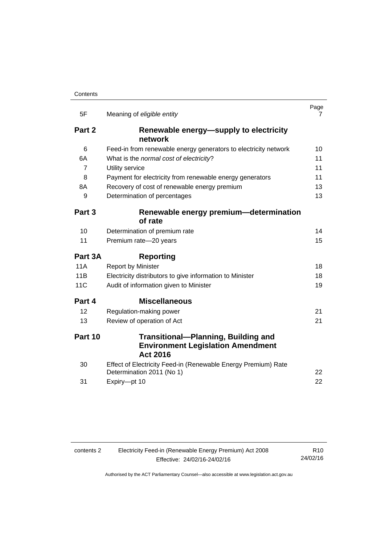| 5F             | Meaning of eligible entity                                                                                | Page<br>7 |
|----------------|-----------------------------------------------------------------------------------------------------------|-----------|
| Part 2         | Renewable energy—supply to electricity<br>network                                                         |           |
| 6              | Feed-in from renewable energy generators to electricity network                                           | 10        |
| 6A             | What is the normal cost of electricity?                                                                   | 11        |
| $\overline{7}$ | Utility service                                                                                           | 11        |
| 8              | Payment for electricity from renewable energy generators                                                  | 11        |
| 8Α             | Recovery of cost of renewable energy premium                                                              | 13        |
| 9              | Determination of percentages                                                                              | 13        |
| Part 3         | Renewable energy premium-determination                                                                    |           |
|                | of rate                                                                                                   |           |
| 10             | Determination of premium rate                                                                             | 14        |
| 11             | Premium rate-20 years                                                                                     | 15        |
| Part 3A        | Reporting                                                                                                 |           |
| <b>11A</b>     | <b>Report by Minister</b>                                                                                 | 18        |
|                |                                                                                                           |           |
| 11B            | Electricity distributors to give information to Minister                                                  | 18        |
| 11C            | Audit of information given to Minister                                                                    | 19        |
| Part 4         | <b>Miscellaneous</b>                                                                                      |           |
| 12             | Regulation-making power                                                                                   | 21        |
| 13             | Review of operation of Act                                                                                | 21        |
| Part 10        | <b>Transitional-Planning, Building and</b><br><b>Environment Legislation Amendment</b><br><b>Act 2016</b> |           |
| 30             | Effect of Electricity Feed-in (Renewable Energy Premium) Rate<br>Determination 2011 (No 1)                | 22        |

| Electricity Feed-in (Renewable Energy Premium) Act 2008<br>contents 2 |                              | R <sub>10</sub> |
|-----------------------------------------------------------------------|------------------------------|-----------------|
|                                                                       | Effective: 24/02/16-24/02/16 | 24/02/16        |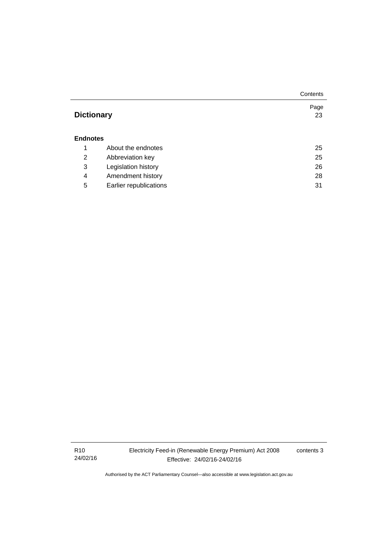|                   |                        | Contents |
|-------------------|------------------------|----------|
|                   |                        | Page     |
| <b>Dictionary</b> |                        | 23       |
|                   |                        |          |
| <b>Endnotes</b>   |                        |          |
| 1                 | About the endnotes     | 25       |
| 2                 | Abbreviation key       | 25       |
| 3                 | Legislation history    | 26       |
| 4                 | Amendment history      | 28       |
| 5                 | Earlier republications | 31       |

R10 24/02/16 Electricity Feed-in (Renewable Energy Premium) Act 2008 Effective: 24/02/16-24/02/16

contents 3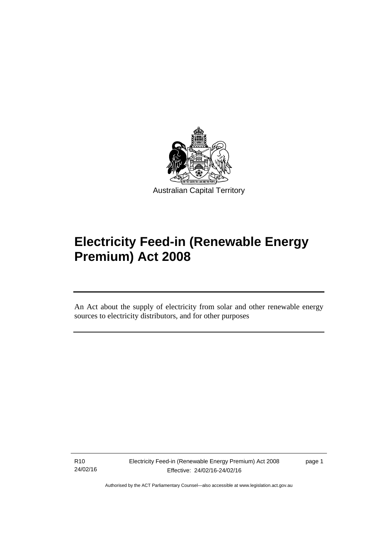

# **Electricity Feed-in (Renewable Energy Premium) Act 2008**

An Act about the supply of electricity from solar and other renewable energy sources to electricity distributors, and for other purposes

R10 24/02/16

l

page 1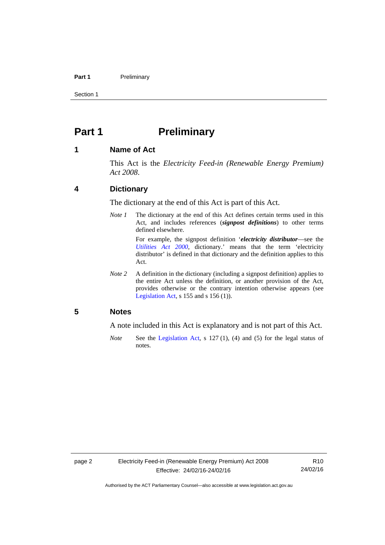#### Part 1 **Preliminary**

Section 1

# <span id="page-7-0"></span>**Part 1** Preliminary

### <span id="page-7-1"></span>**1 Name of Act**

This Act is the *Electricity Feed-in (Renewable Energy Premium) Act 2008*.

### <span id="page-7-2"></span>**4 Dictionary**

The dictionary at the end of this Act is part of this Act.

*Note 1* The dictionary at the end of this Act defines certain terms used in this Act, and includes references (*signpost definitions*) to other terms defined elsewhere.

> For example, the signpost definition '*electricity distributor*—see the *[Utilities Act 2000](http://www.legislation.act.gov.au/a/2000-65)*, dictionary.' means that the term 'electricity distributor' is defined in that dictionary and the definition applies to this Act.

*Note 2* A definition in the dictionary (including a signpost definition) applies to the entire Act unless the definition, or another provision of the Act, provides otherwise or the contrary intention otherwise appears (see [Legislation Act,](http://www.legislation.act.gov.au/a/2001-14) s  $155$  and s  $156$  (1)).

### <span id="page-7-3"></span>**5 Notes**

A note included in this Act is explanatory and is not part of this Act.

*Note* See the [Legislation Act,](http://www.legislation.act.gov.au/a/2001-14) s 127 (1), (4) and (5) for the legal status of notes.

R10 24/02/16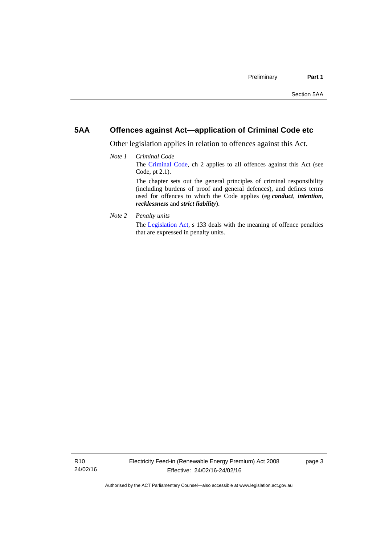# <span id="page-8-0"></span>**5AA Offences against Act—application of Criminal Code etc**

Other legislation applies in relation to offences against this Act.

- *Note 1 Criminal Code* The [Criminal Code](http://www.legislation.act.gov.au/a/2002-51), ch 2 applies to all offences against this Act (see Code, pt 2.1). The chapter sets out the general principles of criminal responsibility (including burdens of proof and general defences), and defines terms used for offences to which the Code applies (eg *conduct*, *intention*, *recklessness* and *strict liability*).
- *Note 2 Penalty units*

The [Legislation Act](http://www.legislation.act.gov.au/a/2001-14), s 133 deals with the meaning of offence penalties that are expressed in penalty units.

page 3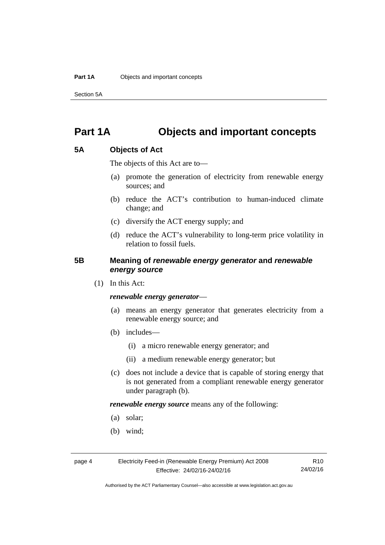Section 5A

# <span id="page-9-0"></span>**Part 1A Objects and important concepts**

# <span id="page-9-1"></span>**5A Objects of Act**

The objects of this Act are to—

- (a) promote the generation of electricity from renewable energy sources; and
- (b) reduce the ACT's contribution to human-induced climate change; and
- (c) diversify the ACT energy supply; and
- (d) reduce the ACT's vulnerability to long-term price volatility in relation to fossil fuels.

# <span id="page-9-2"></span>**5B Meaning of** *renewable energy generator* **and** *renewable energy source*

(1) In this Act:

#### *renewable energy generator*—

- (a) means an energy generator that generates electricity from a renewable energy source; and
- (b) includes—
	- (i) a micro renewable energy generator; and
	- (ii) a medium renewable energy generator; but
- (c) does not include a device that is capable of storing energy that is not generated from a compliant renewable energy generator under paragraph (b).

*renewable energy source* means any of the following:

- (a) solar;
- (b) wind;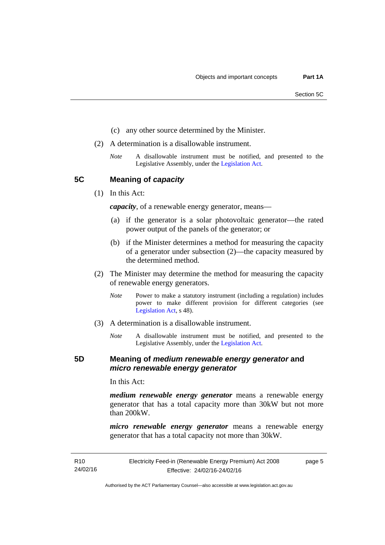- (c) any other source determined by the Minister.
- (2) A determination is a disallowable instrument.
	- *Note* A disallowable instrument must be notified, and presented to the Legislative Assembly, under the [Legislation Act.](http://www.legislation.act.gov.au/a/2001-14)

<span id="page-10-0"></span>**5C Meaning of** *capacity*

(1) In this Act:

*capacity*, of a renewable energy generator, means—

- (a) if the generator is a solar photovoltaic generator—the rated power output of the panels of the generator; or
- (b) if the Minister determines a method for measuring the capacity of a generator under subsection (2)—the capacity measured by the determined method.
- (2) The Minister may determine the method for measuring the capacity of renewable energy generators.
	- *Note* Power to make a statutory instrument (including a regulation) includes power to make different provision for different categories (see [Legislation Act,](http://www.legislation.act.gov.au/a/2001-14) s 48).
- (3) A determination is a disallowable instrument.
	- *Note* A disallowable instrument must be notified, and presented to the Legislative Assembly, under the [Legislation Act.](http://www.legislation.act.gov.au/a/2001-14)

### <span id="page-10-1"></span>**5D Meaning of** *medium renewable energy generator* **and**  *micro renewable energy generator*

In this Act:

*medium renewable energy generator* means a renewable energy generator that has a total capacity more than 30kW but not more than 200kW.

*micro renewable energy generator* means a renewable energy generator that has a total capacity not more than 30kW.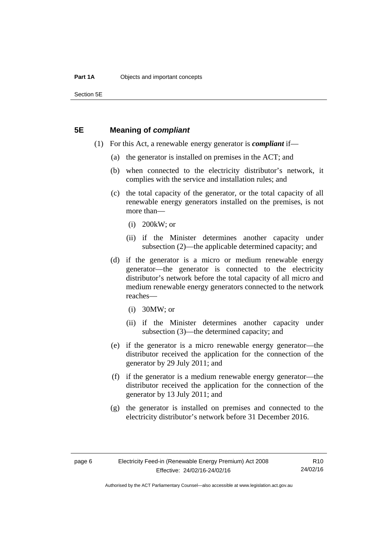Section 5E

### <span id="page-11-0"></span>**5E Meaning of** *compliant*

- (1) For this Act, a renewable energy generator is *compliant* if—
	- (a) the generator is installed on premises in the ACT; and
	- (b) when connected to the electricity distributor's network, it complies with the service and installation rules; and
	- (c) the total capacity of the generator, or the total capacity of all renewable energy generators installed on the premises, is not more than—
		- (i) 200kW; or
		- (ii) if the Minister determines another capacity under subsection (2)—the applicable determined capacity; and
	- (d) if the generator is a micro or medium renewable energy generator—the generator is connected to the electricity distributor's network before the total capacity of all micro and medium renewable energy generators connected to the network reaches—
		- (i) 30MW; or
		- (ii) if the Minister determines another capacity under subsection (3)—the determined capacity; and
	- (e) if the generator is a micro renewable energy generator—the distributor received the application for the connection of the generator by 29 July 2011; and
	- (f) if the generator is a medium renewable energy generator—the distributor received the application for the connection of the generator by 13 July 2011; and
	- (g) the generator is installed on premises and connected to the electricity distributor's network before 31 December 2016.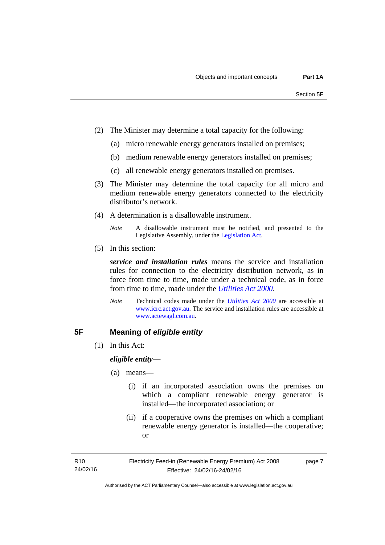- (2) The Minister may determine a total capacity for the following:
	- (a) micro renewable energy generators installed on premises;
	- (b) medium renewable energy generators installed on premises;
	- (c) all renewable energy generators installed on premises.
- (3) The Minister may determine the total capacity for all micro and medium renewable energy generators connected to the electricity distributor's network.
- (4) A determination is a disallowable instrument.
	- *Note* A disallowable instrument must be notified, and presented to the Legislative Assembly, under the [Legislation Act.](http://www.legislation.act.gov.au/a/2001-14)
- (5) In this section:

*service and installation rules* means the service and installation rules for connection to the electricity distribution network, as in force from time to time, made under a technical code, as in force from time to time, made under the *[Utilities Act 2000](http://www.legislation.act.gov.au/a/2000-65)*.

*Note* Technical codes made under the *[Utilities Act 2000](http://www.legislation.act.gov.au/a/2000-65)* are accessible at [www.icrc.act.gov.au.](http://www.icrc.act.gov.au/) The service and installation rules are accessible at [www.actewagl.com.au](http://www.actewagl.com.au/).

# <span id="page-12-0"></span>**5F Meaning of** *eligible entity*

(1) In this Act:

*eligible entity*—

- (a) means—
	- (i) if an incorporated association owns the premises on which a compliant renewable energy generator is installed—the incorporated association; or
	- (ii) if a cooperative owns the premises on which a compliant renewable energy generator is installed—the cooperative; or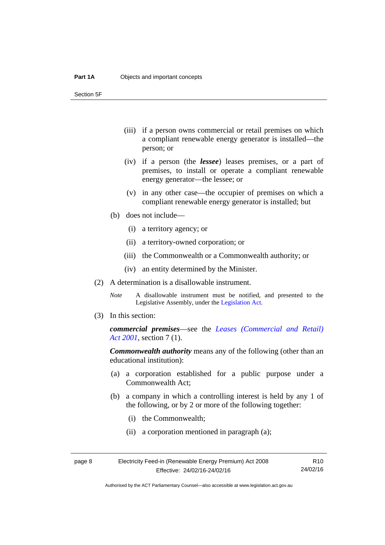Section 5F

- (iii) if a person owns commercial or retail premises on which a compliant renewable energy generator is installed—the person; or
- (iv) if a person (the *lessee*) leases premises, or a part of premises, to install or operate a compliant renewable energy generator—the lessee; or
- (v) in any other case—the occupier of premises on which a compliant renewable energy generator is installed; but
- (b) does not include—
	- (i) a territory agency; or
	- (ii) a territory-owned corporation; or
	- (iii) the Commonwealth or a Commonwealth authority; or
	- (iv) an entity determined by the Minister.
- (2) A determination is a disallowable instrument.
	- *Note* A disallowable instrument must be notified, and presented to the Legislative Assembly, under the [Legislation Act.](http://www.legislation.act.gov.au/a/2001-14)
- (3) In this section:

*commercial premises*—see the *[Leases \(Commercial and Retail\)](http://www.legislation.act.gov.au/a/2001-18)  [Act 2001](http://www.legislation.act.gov.au/a/2001-18)*, section 7 (1).

*Commonwealth authority* means any of the following (other than an educational institution):

- (a) a corporation established for a public purpose under a Commonwealth Act;
- (b) a company in which a controlling interest is held by any 1 of the following, or by 2 or more of the following together:
	- (i) the Commonwealth;
	- (ii) a corporation mentioned in paragraph (a);

| page 8 | Electricity Feed-in (Renewable Energy Premium) Act 2008 |          |
|--------|---------------------------------------------------------|----------|
|        | Effective: 24/02/16-24/02/16                            | 24/02/16 |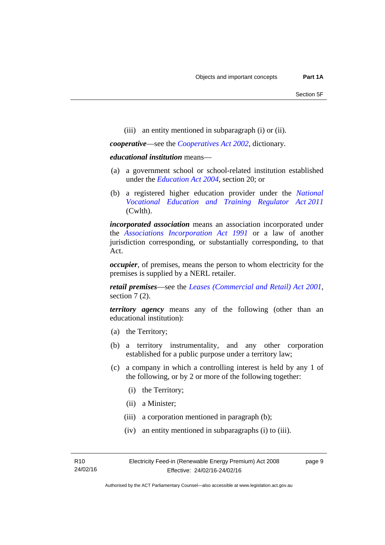(iii) an entity mentioned in subparagraph (i) or (ii).

*cooperative*—see the *[Cooperatives Act 2002](http://www.legislation.act.gov.au/a/2002-45)*, dictionary.

#### *educational institution* means—

- (a) a government school or school-related institution established under the *[Education Act 2004](http://www.legislation.act.gov.au/a/2004-17)*, section 20; or
- (b) a registered higher education provider under the *[National](http://www.comlaw.gov.au/Series/C2011A00012)  [Vocational Education and Training Regulator Act 2011](http://www.comlaw.gov.au/Series/C2011A00012)* (Cwlth).

*incorporated association* means an association incorporated under the *[Associations Incorporation Act 1991](http://www.legislation.act.gov.au/a/1991-46)* or a law of another jurisdiction corresponding, or substantially corresponding, to that Act.

*occupier*, of premises, means the person to whom electricity for the premises is supplied by a NERL retailer.

*retail premises*—see the *[Leases \(Commercial and Retail\) Act 2001](http://www.legislation.act.gov.au/a/2001-18)*, section 7(2).

*territory agency* means any of the following (other than an educational institution):

- (a) the Territory;
- (b) a territory instrumentality, and any other corporation established for a public purpose under a territory law;
- (c) a company in which a controlling interest is held by any 1 of the following, or by 2 or more of the following together:
	- (i) the Territory;
	- (ii) a Minister;
	- (iii) a corporation mentioned in paragraph (b);
	- (iv) an entity mentioned in subparagraphs (i) to (iii).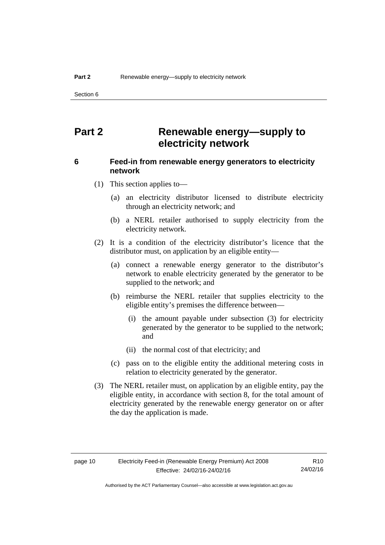Section 6

# <span id="page-15-0"></span>**Part 2 Renewable energy—supply to electricity network**

# <span id="page-15-1"></span>**6 Feed-in from renewable energy generators to electricity network**

(1) This section applies to—

- (a) an electricity distributor licensed to distribute electricity through an electricity network; and
- (b) a NERL retailer authorised to supply electricity from the electricity network.
- (2) It is a condition of the electricity distributor's licence that the distributor must, on application by an eligible entity—
	- (a) connect a renewable energy generator to the distributor's network to enable electricity generated by the generator to be supplied to the network; and
	- (b) reimburse the NERL retailer that supplies electricity to the eligible entity's premises the difference between—
		- (i) the amount payable under subsection (3) for electricity generated by the generator to be supplied to the network; and
		- (ii) the normal cost of that electricity; and
	- (c) pass on to the eligible entity the additional metering costs in relation to electricity generated by the generator.
- (3) The NERL retailer must, on application by an eligible entity, pay the eligible entity, in accordance with section 8, for the total amount of electricity generated by the renewable energy generator on or after the day the application is made.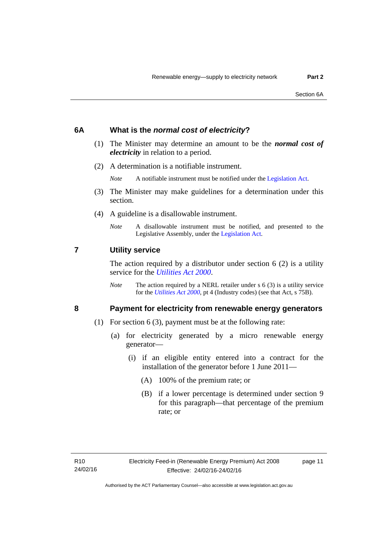### <span id="page-16-0"></span>**6A What is the** *normal cost of electricity***?**

- (1) The Minister may determine an amount to be the *normal cost of electricity* in relation to a period.
- (2) A determination is a notifiable instrument.

*Note* A notifiable instrument must be notified under the [Legislation Act](http://www.legislation.act.gov.au/a/2001-14).

- (3) The Minister may make guidelines for a determination under this section.
- (4) A guideline is a disallowable instrument.
	- *Note* A disallowable instrument must be notified, and presented to the Legislative Assembly, under the [Legislation Act.](http://www.legislation.act.gov.au/a/2001-14)

#### <span id="page-16-1"></span>**7 Utility service**

The action required by a distributor under section  $6(2)$  is a utility service for the *[Utilities Act 2000](http://www.legislation.act.gov.au/a/2000-65)*.

*Note* The action required by a NERL retailer under s 6 (3) is a utility service for the *[Utilities Act 2000](http://www.legislation.act.gov.au/a/2000-65)*, pt 4 (Industry codes) (see that Act, s 75B).

# <span id="page-16-2"></span>**8 Payment for electricity from renewable energy generators**

- (1) For section 6 (3), payment must be at the following rate:
	- (a) for electricity generated by a micro renewable energy generator—
		- (i) if an eligible entity entered into a contract for the installation of the generator before 1 June 2011—
			- (A) 100% of the premium rate; or
			- (B) if a lower percentage is determined under section 9 for this paragraph—that percentage of the premium rate; or

page 11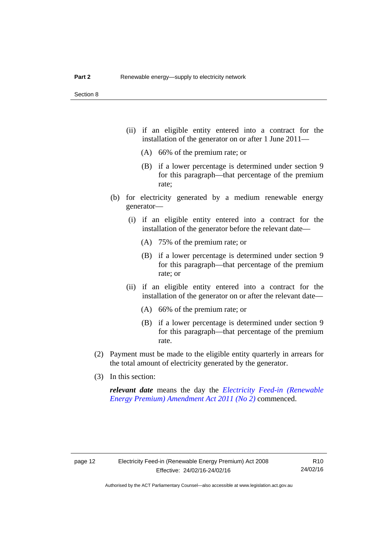- (ii) if an eligible entity entered into a contract for the installation of the generator on or after 1 June 2011—
	- (A) 66% of the premium rate; or
	- (B) if a lower percentage is determined under section 9 for this paragraph—that percentage of the premium rate;
- (b) for electricity generated by a medium renewable energy generator—
	- (i) if an eligible entity entered into a contract for the installation of the generator before the relevant date—
		- (A) 75% of the premium rate; or
		- (B) if a lower percentage is determined under section 9 for this paragraph—that percentage of the premium rate; or
	- (ii) if an eligible entity entered into a contract for the installation of the generator on or after the relevant date—
		- (A) 66% of the premium rate; or
		- (B) if a lower percentage is determined under section 9 for this paragraph—that percentage of the premium rate.
- (2) Payment must be made to the eligible entity quarterly in arrears for the total amount of electricity generated by the generator.
- (3) In this section:

*relevant date* means the day the *[Electricity Feed-in \(Renewable](http://www.legislation.act.gov.au/a/2011-25)  [Energy Premium\) Amendment Act 2011 \(No 2\)](http://www.legislation.act.gov.au/a/2011-25)* commenced.

R10 24/02/16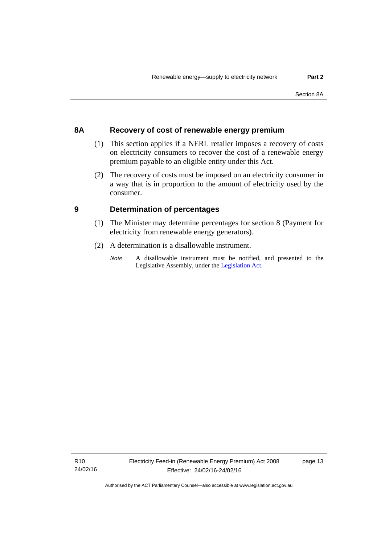# <span id="page-18-0"></span>**8A Recovery of cost of renewable energy premium**

- (1) This section applies if a NERL retailer imposes a recovery of costs on electricity consumers to recover the cost of a renewable energy premium payable to an eligible entity under this Act.
- (2) The recovery of costs must be imposed on an electricity consumer in a way that is in proportion to the amount of electricity used by the consumer.

# <span id="page-18-1"></span>**9 Determination of percentages**

- (1) The Minister may determine percentages for section 8 (Payment for electricity from renewable energy generators).
- (2) A determination is a disallowable instrument.
	- *Note* A disallowable instrument must be notified, and presented to the Legislative Assembly, under the [Legislation Act.](http://www.legislation.act.gov.au/a/2001-14)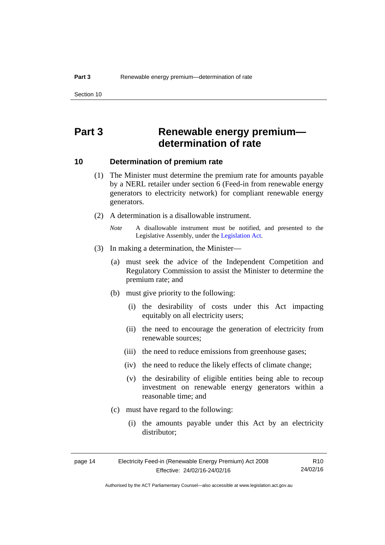# <span id="page-19-0"></span>**Part 3 Renewable energy premium determination of rate**

## <span id="page-19-1"></span>**10 Determination of premium rate**

- (1) The Minister must determine the premium rate for amounts payable by a NERL retailer under section 6 (Feed-in from renewable energy generators to electricity network) for compliant renewable energy generators.
- (2) A determination is a disallowable instrument.
	- *Note* A disallowable instrument must be notified, and presented to the Legislative Assembly, under the [Legislation Act.](http://www.legislation.act.gov.au/a/2001-14)
- (3) In making a determination, the Minister—
	- (a) must seek the advice of the Independent Competition and Regulatory Commission to assist the Minister to determine the premium rate; and
	- (b) must give priority to the following:
		- (i) the desirability of costs under this Act impacting equitably on all electricity users;
		- (ii) the need to encourage the generation of electricity from renewable sources;
		- (iii) the need to reduce emissions from greenhouse gases;
		- (iv) the need to reduce the likely effects of climate change;
		- (v) the desirability of eligible entities being able to recoup investment on renewable energy generators within a reasonable time; and
	- (c) must have regard to the following:
		- (i) the amounts payable under this Act by an electricity distributor;

| page 14 | Electricity Feed-in (Renewable Energy Premium) Act 2008 | R10      |
|---------|---------------------------------------------------------|----------|
|         | Effective: 24/02/16-24/02/16                            | 24/02/16 |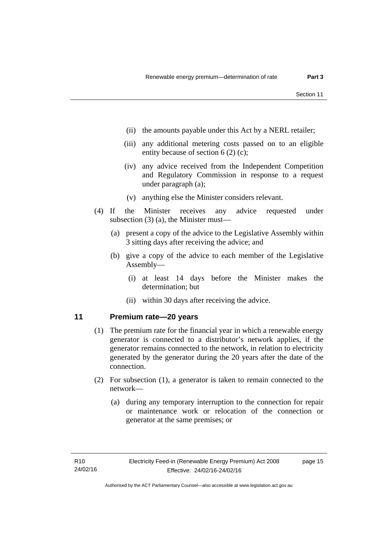- (ii) the amounts payable under this Act by a NERL retailer;
- (iii) any additional metering costs passed on to an eligible entity because of section 6 (2) (c);
- (iv) any advice received from the Independent Competition and Regulatory Commission in response to a request under paragraph (a);
- (v) anything else the Minister considers relevant.
- (4) If the Minister receives any advice requested under subsection (3) (a), the Minister must—
	- (a) present a copy of the advice to the Legislative Assembly within 3 sitting days after receiving the advice; and
	- (b) give a copy of the advice to each member of the Legislative Assembly—
		- (i) at least 14 days before the Minister makes the determination; but
		- (ii) within 30 days after receiving the advice.

# <span id="page-20-0"></span>**11 Premium rate—20 years**

- (1) The premium rate for the financial year in which a renewable energy generator is connected to a distributor's network applies, if the generator remains connected to the network, in relation to electricity generated by the generator during the 20 years after the date of the connection.
- (2) For subsection (1), a generator is taken to remain connected to the network—
	- (a) during any temporary interruption to the connection for repair or maintenance work or relocation of the connection or generator at the same premises; or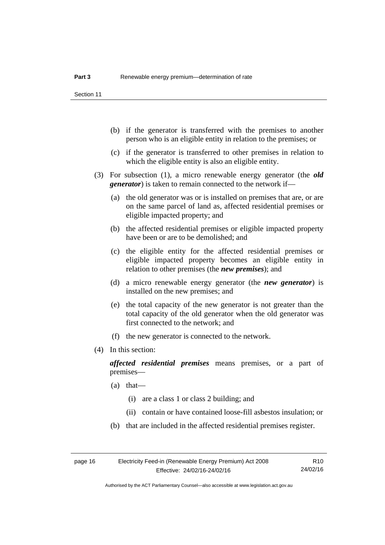- (b) if the generator is transferred with the premises to another person who is an eligible entity in relation to the premises; or
- (c) if the generator is transferred to other premises in relation to which the eligible entity is also an eligible entity.
- (3) For subsection (1), a micro renewable energy generator (the *old generator*) is taken to remain connected to the network if—
	- (a) the old generator was or is installed on premises that are, or are on the same parcel of land as, affected residential premises or eligible impacted property; and
	- (b) the affected residential premises or eligible impacted property have been or are to be demolished; and
	- (c) the eligible entity for the affected residential premises or eligible impacted property becomes an eligible entity in relation to other premises (the *new premises*); and
	- (d) a micro renewable energy generator (the *new generator*) is installed on the new premises; and
	- (e) the total capacity of the new generator is not greater than the total capacity of the old generator when the old generator was first connected to the network; and
	- (f) the new generator is connected to the network.
- (4) In this section:

*affected residential premises* means premises, or a part of premises—

- (a) that—
	- (i) are a class 1 or class 2 building; and
	- (ii) contain or have contained loose-fill asbestos insulation; or
- (b) that are included in the affected residential premises register.

R10 24/02/16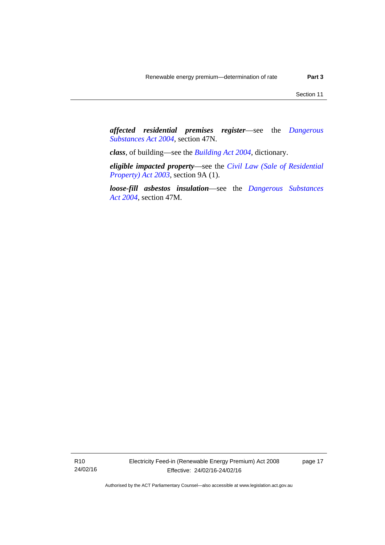*affected residential premises register*—see the *[Dangerous](http://www.legislation.act.gov.au/a/2004-7)  [Substances Act 2004](http://www.legislation.act.gov.au/a/2004-7)*, section 47N.

*class*, of building—see the *[Building Act 2004](http://www.legislation.act.gov.au/a/2004-11)*, dictionary.

*eligible impacted property*—see the *[Civil Law \(Sale of Residential](http://www.legislation.act.gov.au/a/2003-40)  [Property\) Act 2003](http://www.legislation.act.gov.au/a/2003-40)*, section 9A (1).

*loose-fill asbestos insulation*—see the *[Dangerous Substances](http://www.legislation.act.gov.au/a/2004-7)  [Act 2004](http://www.legislation.act.gov.au/a/2004-7)*, section 47M.

R10 24/02/16 Electricity Feed-in (Renewable Energy Premium) Act 2008 Effective: 24/02/16-24/02/16

page 17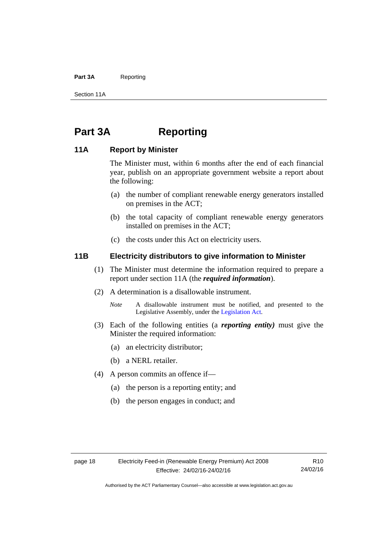#### Part 3A Reporting

Section 11A

# <span id="page-23-0"></span>**Part 3A Reporting**

# <span id="page-23-1"></span>**11A Report by Minister**

The Minister must, within 6 months after the end of each financial year, publish on an appropriate government website a report about the following:

- (a) the number of compliant renewable energy generators installed on premises in the ACT;
- (b) the total capacity of compliant renewable energy generators installed on premises in the ACT;
- (c) the costs under this Act on electricity users.

# <span id="page-23-2"></span>**11B Electricity distributors to give information to Minister**

- (1) The Minister must determine the information required to prepare a report under section 11A (the *required information*).
- (2) A determination is a disallowable instrument.
	- *Note* A disallowable instrument must be notified, and presented to the Legislative Assembly, under the [Legislation Act.](http://www.legislation.act.gov.au/a/2001-14)
- (3) Each of the following entities (a *reporting entity)* must give the Minister the required information:
	- (a) an electricity distributor;
	- (b) a NERL retailer.
- (4) A person commits an offence if—
	- (a) the person is a reporting entity; and
	- (b) the person engages in conduct; and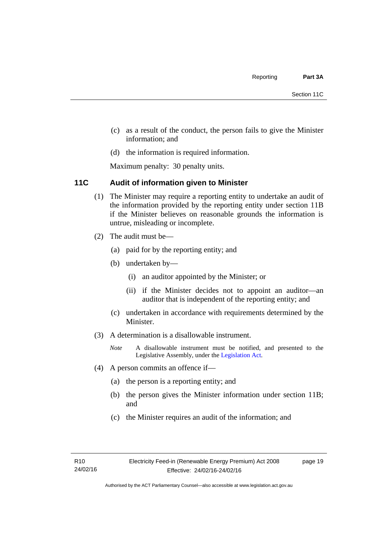- (c) as a result of the conduct, the person fails to give the Minister information; and
- (d) the information is required information.

Maximum penalty: 30 penalty units.

# <span id="page-24-0"></span>**11C Audit of information given to Minister**

- (1) The Minister may require a reporting entity to undertake an audit of the information provided by the reporting entity under section 11B if the Minister believes on reasonable grounds the information is untrue, misleading or incomplete.
- (2) The audit must be—
	- (a) paid for by the reporting entity; and
	- (b) undertaken by—
		- (i) an auditor appointed by the Minister; or
		- (ii) if the Minister decides not to appoint an auditor—an auditor that is independent of the reporting entity; and
	- (c) undertaken in accordance with requirements determined by the Minister.
- (3) A determination is a disallowable instrument.
	- *Note* A disallowable instrument must be notified, and presented to the Legislative Assembly, under the [Legislation Act.](http://www.legislation.act.gov.au/a/2001-14)
- (4) A person commits an offence if—
	- (a) the person is a reporting entity; and
	- (b) the person gives the Minister information under section 11B; and
	- (c) the Minister requires an audit of the information; and

page 19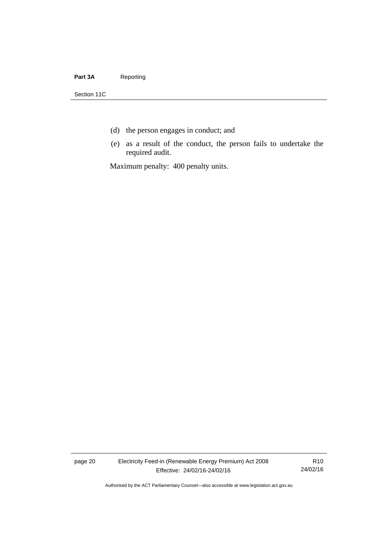#### Part 3A Reporting

Section 11C

- (d) the person engages in conduct; and
- (e) as a result of the conduct, the person fails to undertake the required audit.

Maximum penalty: 400 penalty units.

page 20 Electricity Feed-in (Renewable Energy Premium) Act 2008 Effective: 24/02/16-24/02/16

R10 24/02/16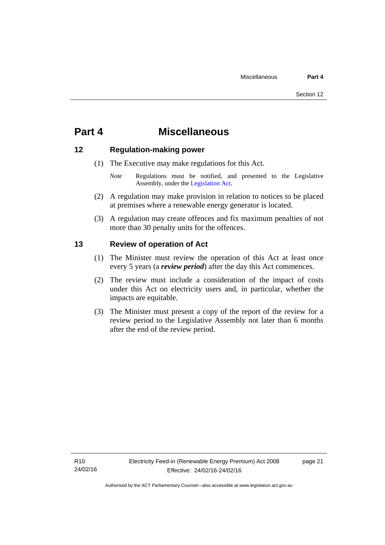# <span id="page-26-0"></span>**Part 4 Miscellaneous**

# <span id="page-26-1"></span>**12 Regulation-making power**

- (1) The Executive may make regulations for this Act.
	- *Note* Regulations must be notified, and presented to the Legislative Assembly, under the [Legislation Act](http://www.legislation.act.gov.au/a/2001-14).
- (2) A regulation may make provision in relation to notices to be placed at premises where a renewable energy generator is located.
- (3) A regulation may create offences and fix maximum penalties of not more than 30 penalty units for the offences.

# <span id="page-26-2"></span>**13 Review of operation of Act**

- (1) The Minister must review the operation of this Act at least once every 5 years (a *review period*) after the day this Act commences.
- (2) The review must include a consideration of the impact of costs under this Act on electricity users and, in particular, whether the impacts are equitable.
- (3) The Minister must present a copy of the report of the review for a review period to the Legislative Assembly not later than 6 months after the end of the review period.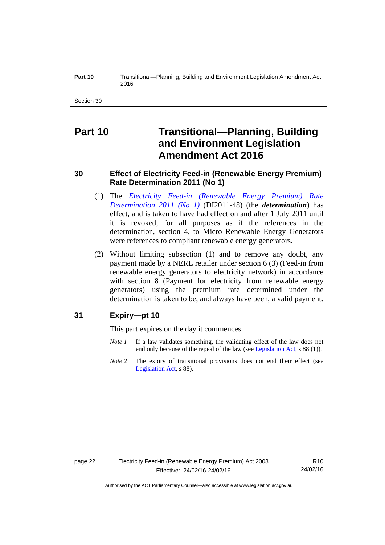#### **Part 10** Transitional—Planning, Building and Environment Legislation Amendment Act 2016

Section 30

# <span id="page-27-0"></span>**Part 10 Transitional—Planning, Building and Environment Legislation Amendment Act 2016**

# <span id="page-27-1"></span>**30 Effect of Electricity Feed-in (Renewable Energy Premium) Rate Determination 2011 (No 1)**

- (1) The *[Electricity Feed-in \(Renewable Energy Premium\) Rate](http://www.legislation.act.gov.au/di/2011-48/default.asp)  [Determination 2011 \(No 1\)](http://www.legislation.act.gov.au/di/2011-48/default.asp)* (DI2011-48) (the *determination*) has effect, and is taken to have had effect on and after 1 July 2011 until it is revoked, for all purposes as if the references in the determination, section 4, to Micro Renewable Energy Generators were references to compliant renewable energy generators.
- (2) Without limiting subsection (1) and to remove any doubt, any payment made by a NERL retailer under section 6 (3) (Feed-in from renewable energy generators to electricity network) in accordance with section 8 (Payment for electricity from renewable energy generators) using the premium rate determined under the determination is taken to be, and always have been, a valid payment.

# <span id="page-27-2"></span>**31 Expiry—pt 10**

This part expires on the day it commences.

- *Note 1* If a law validates something, the validating effect of the law does not end only because of the repeal of the law (see [Legislation Act,](http://www.legislation.act.gov.au/a/2001-14) s 88 (1)).
- *Note* 2 The expiry of transitional provisions does not end their effect (see [Legislation Act,](http://www.legislation.act.gov.au/a/2001-14) s 88).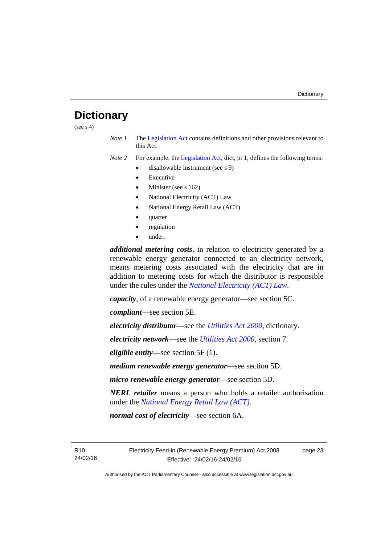# <span id="page-28-0"></span>**Dictionary**

(see  $s$  4)

*Note 1* The [Legislation Act](http://www.legislation.act.gov.au/a/2001-14) contains definitions and other provisions relevant to this Act.

*Note 2* For example, the [Legislation Act,](http://www.legislation.act.gov.au/a/2001-14) dict, pt 1, defines the following terms:

- disallowable instrument (see s 9)
	- Executive
	- Minister (see s 162)
	- National Electricity (ACT) Law
	- National Energy Retail Law (ACT)
	- quarter
	- regulation
	- under.

*additional metering costs*, in relation to electricity generated by a renewable energy generator connected to an electricity network, means metering costs associated with the electricity that are in addition to metering costs for which the distributor is responsible under the rules under the *[National Electricity \(ACT\) Law](http://www.legislation.act.gov.au/a/1997-79/default.asp)*.

*capacity*, of a renewable energy generator—see section 5C.

*compliant*—see section 5E.

*electricity distributor*—see the *[Utilities Act 2000](http://www.legislation.act.gov.au/a/2000-65)*, dictionary.

*electricity network*—see the *[Utilities Act 2000](http://www.legislation.act.gov.au/a/2000-65)*, section 7.

*eligible entity—*see section 5F (1).

*medium renewable energy generator*—see section 5D.

*micro renewable energy generator*—see section 5D.

*NERL retailer* means a person who holds a retailer authorisation under the *[National Energy Retail Law \(ACT\)](http://www.legislation.act.gov.au/a/2012-31/default.asp)*.

*normal cost of electricity*—see section 6A.

R10 24/02/16 page 23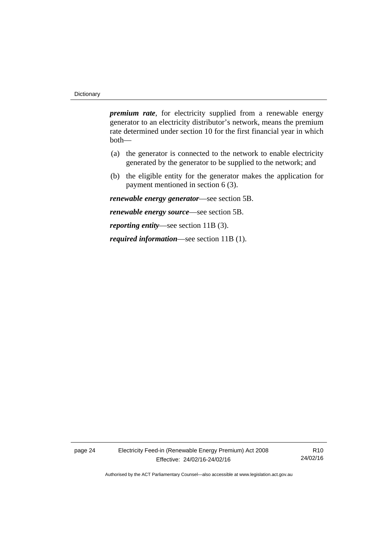*premium rate*, for electricity supplied from a renewable energy generator to an electricity distributor's network, means the premium rate determined under section 10 for the first financial year in which both—

- (a) the generator is connected to the network to enable electricity generated by the generator to be supplied to the network; and
- (b) the eligible entity for the generator makes the application for payment mentioned in section 6 (3).

*renewable energy generator*—see section 5B.

*renewable energy source*—see section 5B.

*reporting entity*—see section 11B (3).

*required information*—see section 11B (1).

page 24 Electricity Feed-in (Renewable Energy Premium) Act 2008 Effective: 24/02/16-24/02/16

R10 24/02/16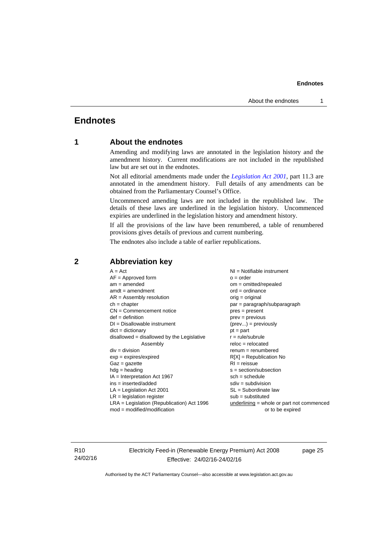# <span id="page-30-0"></span>**Endnotes**

# **1 About the endnotes**

Amending and modifying laws are annotated in the legislation history and the amendment history. Current modifications are not included in the republished law but are set out in the endnotes.

Not all editorial amendments made under the *[Legislation Act 2001](http://www.legislation.act.gov.au/a/2001-14)*, part 11.3 are annotated in the amendment history. Full details of any amendments can be obtained from the Parliamentary Counsel's Office.

Uncommenced amending laws are not included in the republished law. The details of these laws are underlined in the legislation history. Uncommenced expiries are underlined in the legislation history and amendment history.

If all the provisions of the law have been renumbered, a table of renumbered provisions gives details of previous and current numbering.

The endnotes also include a table of earlier republications.

| $A = Act$                                    | NI = Notifiable instrument                  |
|----------------------------------------------|---------------------------------------------|
| $AF =$ Approved form                         | $o = order$                                 |
| $am = amended$                               | $om = omitted/repealed$                     |
| $amdt = amendment$                           | $ord = ordinance$                           |
| $AR = Assembly resolution$                   | $orig = original$                           |
| $ch = chapter$                               | par = paragraph/subparagraph                |
| $CN =$ Commencement notice                   | $pres = present$                            |
| $def = definition$                           | $prev = previous$                           |
| $DI = Disallowable instrument$               | $(\text{prev}) = \text{previously}$         |
| $dict = dictionary$                          | $pt = part$                                 |
| $disallowed = disallowed by the Legislative$ | $r = rule/subrule$                          |
| Assembly                                     | $reloc = relocated$                         |
| $div = division$                             | $renum = renumbered$                        |
| $exp = expires/expired$                      | $R[X]$ = Republication No                   |
| $Gaz = gazette$                              | $RI = reissue$                              |
| $hdg = heading$                              | $s = section/subsection$                    |
| $IA = Interpretation Act 1967$               | $sch = schedule$                            |
| ins = inserted/added                         | $sdiv = subdivision$                        |
| $LA =$ Legislation Act 2001                  | $SL = Subordinate$ law                      |
| $LR =$ legislation register                  | $sub =$ substituted                         |
| LRA = Legislation (Republication) Act 1996   | $underlining = whole or part not commenced$ |
| $mod = modified/modification$                | or to be expired                            |
|                                              |                                             |

### <span id="page-30-2"></span>**2 Abbreviation key**

R10 24/02/16 Electricity Feed-in (Renewable Energy Premium) Act 2008 Effective: 24/02/16-24/02/16

page 25

<span id="page-30-1"></span>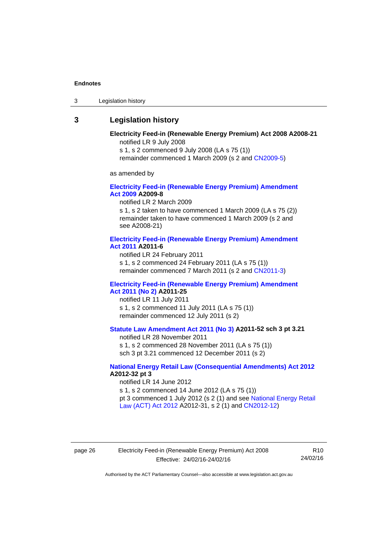3 Legislation history

# <span id="page-31-0"></span>**3 Legislation history**

#### **Electricity Feed-in (Renewable Energy Premium) Act 2008 A2008-21**  notified LR 9 July 2008

s 1, s 2 commenced 9 July 2008 (LA s 75 (1))

remainder commenced 1 March 2009 (s 2 and [CN2009-5\)](http://www.legislation.act.gov.au/cn/2009-5/default.asp)

as amended by

#### **[Electricity Feed-in \(Renewable Energy Premium\) Amendment](http://www.legislation.act.gov.au/a/2009-8)  [Act 2009](http://www.legislation.act.gov.au/a/2009-8) A2009-8**

notified LR 2 March 2009

s 1, s 2 taken to have commenced 1 March 2009 (LA s 75 (2)) remainder taken to have commenced 1 March 2009 (s 2 and see A2008-21)

#### **[Electricity Feed-in \(Renewable Energy Premium\) Amendment](http://www.legislation.act.gov.au/a/2011-6)  [Act 2011](http://www.legislation.act.gov.au/a/2011-6) A2011-6**

notified LR 24 February 2011 s 1, s 2 commenced 24 February 2011 (LA s 75 (1)) remainder commenced 7 March 2011 (s 2 and [CN2011-3\)](http://www.legislation.act.gov.au/cn/2011-3/default.asp)

#### **[Electricity Feed-in \(Renewable Energy Premium\) Amendment](http://www.legislation.act.gov.au/a/2011-25)  [Act 2011 \(No 2\)](http://www.legislation.act.gov.au/a/2011-25) A2011-25**

notified LR 11 July 2011 s 1, s 2 commenced 11 July 2011 (LA s 75 (1)) remainder commenced 12 July 2011 (s 2)

# **[Statute Law Amendment Act 2011 \(No 3\)](http://www.legislation.act.gov.au/a/2011-52) A2011-52 sch 3 pt 3.21**

notified LR 28 November 2011

s 1, s 2 commenced 28 November 2011 (LA s 75 (1)) sch 3 pt 3.21 commenced 12 December 2011 (s 2)

#### **[National Energy Retail Law \(Consequential Amendments\) Act 2012](http://www.legislation.act.gov.au/a/2012-32) A2012-32 pt 3**

notified LR 14 June 2012 s 1, s 2 commenced 14 June 2012 (LA s 75 (1)) pt 3 commenced 1 July 2012 (s 2 (1) and see [National Energy Retail](http://www.legislation.act.gov.au/a/2012-31)  [Law \(ACT\) Act 2012](http://www.legislation.act.gov.au/a/2012-31) A2012-31, s 2 (1) and [CN2012-12\)](http://www.legislation.act.gov.au/cn/2012-12/default.asp)

page 26 Electricity Feed-in (Renewable Energy Premium) Act 2008 Effective: 24/02/16-24/02/16

R10 24/02/16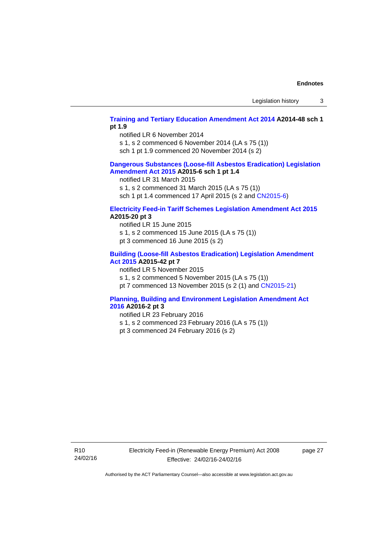#### **[Training and Tertiary Education Amendment Act 2014](http://www.legislation.act.gov.au/a/2014-48) A2014-48 sch 1 pt 1.9**

notified LR 6 November 2014

s 1, s 2 commenced 6 November 2014 (LA s 75 (1))

sch 1 pt 1.9 commenced 20 November 2014 (s 2)

#### **[Dangerous Substances \(Loose-fill Asbestos Eradication\) Legislation](http://www.legislation.act.gov.au/a/2015-6/default.asp)  [Amendment Act 2015](http://www.legislation.act.gov.au/a/2015-6/default.asp) A2015-6 sch 1 pt 1.4**

notified LR 31 March 2015

s 1, s 2 commenced 31 March 2015 (LA s 75 (1))

sch 1 pt 1.4 commenced 17 April 2015 (s 2 and [CN2015-6\)](http://www.legislation.act.gov.au/cn/2015-6/default.asp)

#### **[Electricity Feed-in Tariff Schemes Legislation Amendment Act 2015](http://www.legislation.act.gov.au/a/2015-20/default.asp) A2015-20 pt 3**

notified LR 15 June 2015 s 1, s 2 commenced 15 June 2015 (LA s 75 (1)) pt 3 commenced 16 June 2015 (s 2)

#### **[Building \(Loose-fill Asbestos Eradication\) Legislation Amendment](http://www.legislation.act.gov.au/a/2015-42/default.asp)  [Act 2015](http://www.legislation.act.gov.au/a/2015-42/default.asp) A2015-42 pt 7**

notified LR 5 November 2015

s 1, s 2 commenced 5 November 2015 (LA s 75 (1))

pt 7 commenced 13 November 2015 (s 2 (1) and [CN2015-21\)](http://www.legislation.act.gov.au/cn/2015-21/default.asp)

#### **[Planning, Building and Environment Legislation Amendment Act](http://www.legislation.act.gov.au/a/2016-2/default.asp)  [2016](http://www.legislation.act.gov.au/a/2016-2/default.asp) A2016-2 pt 3**

notified LR 23 February 2016

- s 1, s 2 commenced 23 February 2016 (LA s 75 (1))
- pt 3 commenced 24 February 2016 (s 2)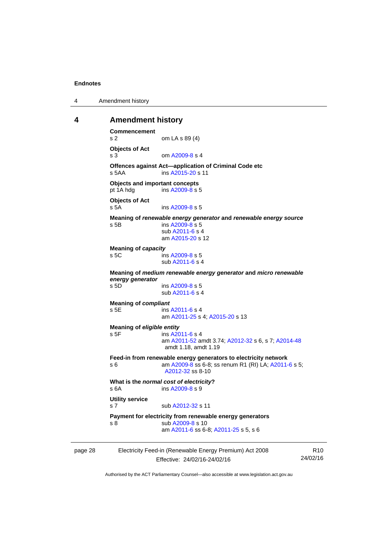4 Amendment history

#### <span id="page-33-0"></span>**4 Amendment history**

```
Commencement 
s 2 om LA s 89 (4) 
Objects of Act 
A2009-8 s 4
Offences against Act—application of Criminal Code etc 
s 5AA ins A2015-20 s 11 
Objects and important concepts 
pt 1A hdg ins A2009-8 s 5 
Objects of Act 
s 5A ins A2009-8 s 5 
Meaning of renewable energy generator and renewable energy source
 A2009-8 s 5
               sub A2011-6 s 4 
                am A2015-20 s 12 
Meaning of capacity
 A2009-8 s 5
                sub A2011-6 s 4 
Meaning of medium renewable energy generator and micro renewable 
energy generator
               A2009-8 s 5
               sub A2011-6 s 4 
Meaning of compliant
s 5E ins A2011-6 s 4 
               am A2011-25 s 4; A2015-20 s 13 
Meaning of eligible entity
A2011-6 s 4
                am A2011-52 amdt 3.74; A2012-32 s 6, s 7; A2014-48
               amdt 1.18, amdt 1.19 
Feed-in from renewable energy generators to electricity network 
s 6 am A2009-8 A2011-6 s 5;
               A2012-32 ss 8-10
What is the normal cost of electricity? 
 A2009-8 s 9
Utility service 
A2012-32 s 11
Payment for electricity from renewable energy generators 
A2009-8 s 10
                am A2011-6 ss 6-8; A2011-25 s 5, s 6
```

| Electricity Feed-in (Renewable Energy Premium) Act 2008<br>page 28 |                              | R <sub>10</sub> |
|--------------------------------------------------------------------|------------------------------|-----------------|
|                                                                    | Effective: 24/02/16-24/02/16 | 24/02/16        |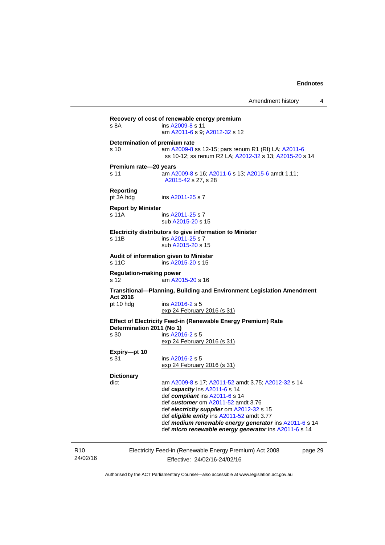page 29

| s 8A                                   | Recovery of cost of renewable energy premium<br>ins A2009-8 s 11<br>am A2011-6 s 9; A2012-32 s 12                                                                                                                                                                                                                                                                                |  |  |  |
|----------------------------------------|----------------------------------------------------------------------------------------------------------------------------------------------------------------------------------------------------------------------------------------------------------------------------------------------------------------------------------------------------------------------------------|--|--|--|
| s 10                                   | Determination of premium rate<br>am A2009-8 ss 12-15; pars renum R1 (RI) LA; A2011-6<br>ss 10-12; ss renum R2 LA; A2012-32 s 13; A2015-20 s 14                                                                                                                                                                                                                                   |  |  |  |
| Premium rate-20 years<br>s 11          | am A2009-8 s 16; A2011-6 s 13; A2015-6 amdt 1.11;<br>A2015-42 s 27, s 28                                                                                                                                                                                                                                                                                                         |  |  |  |
| <b>Reporting</b><br>pt 3A hdg          | ins A2011-25 s 7                                                                                                                                                                                                                                                                                                                                                                 |  |  |  |
| <b>Report by Minister</b><br>s 11A     | ins A2011-25 s 7<br>sub A2015-20 s 15                                                                                                                                                                                                                                                                                                                                            |  |  |  |
| s 11B                                  | Electricity distributors to give information to Minister<br>ins A2011-25 s 7<br>sub A2015-20 s 15                                                                                                                                                                                                                                                                                |  |  |  |
| s 11C                                  | Audit of information given to Minister<br>ins A2015-20 s 15                                                                                                                                                                                                                                                                                                                      |  |  |  |
| <b>Regulation-making power</b><br>s 12 | am A2015-20 s 16                                                                                                                                                                                                                                                                                                                                                                 |  |  |  |
|                                        | Transitional—Planning, Building and Environment Legislation Amendment                                                                                                                                                                                                                                                                                                            |  |  |  |
| Act 2016<br>pt 10 hdg                  | ins A2016-2 s 5<br>exp 24 February 2016 (s 31)                                                                                                                                                                                                                                                                                                                                   |  |  |  |
| Determination 2011 (No 1)<br>s 30      | <b>Effect of Electricity Feed-in (Renewable Energy Premium) Rate</b><br>ins A2016-2 s 5<br><u>exp 24 February 2016 (s 31)</u>                                                                                                                                                                                                                                                    |  |  |  |
| Expiry-pt 10<br>s 31                   | ins A2016-2 s 5<br><u>exp 24 February 2016 (s 31)</u>                                                                                                                                                                                                                                                                                                                            |  |  |  |
| <b>Dictionary</b><br>dict              | am A2009-8 s 17; A2011-52 amdt 3.75; A2012-32 s 14<br>def capacity ins A2011-6 s 14<br>def compliant ins A2011-6 s 14<br>def <i>customer</i> om A2011-52 amdt 3.76<br>def electricity supplier om A2012-32 s 15<br>def eligible entity ins A2011-52 amdt 3.77<br>def medium renewable energy generator ins A2011-6 s 14<br>def micro renewable energy generator ins A2011-6 s 14 |  |  |  |

R10 24/02/16 Electricity Feed-in (Renewable Energy Premium) Act 2008 Effective: 24/02/16-24/02/16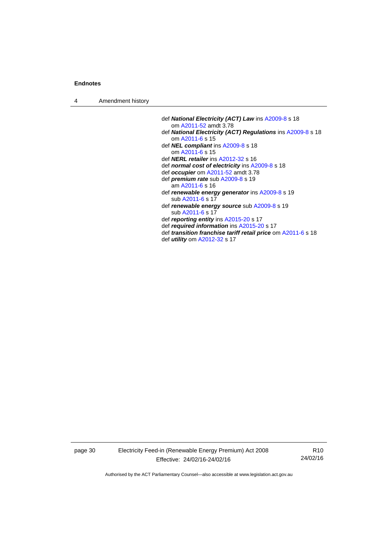4 Amendment history

- def *National Electricity (ACT) Law* ins [A2009-8](http://www.legislation.act.gov.au/a/2009-8) s 18 om [A2011-52](http://www.legislation.act.gov.au/a/2011-52) amdt 3.78
- def *National Electricity (ACT) Regulations* ins [A2009-8](http://www.legislation.act.gov.au/a/2009-8) s 18 om [A2011-6](http://www.legislation.act.gov.au/a/2011-6) s 15
- def *NEL compliant* ins [A2009-8](http://www.legislation.act.gov.au/a/2009-8) s 18 om [A2011-6](http://www.legislation.act.gov.au/a/2011-6) s 15
- def *NERL retailer* ins [A2012-32](http://www.legislation.act.gov.au/a/2012-32) s 16
- def *normal cost of electricity* ins [A2009-8](http://www.legislation.act.gov.au/a/2009-8) s 18
- def *occupier* om [A2011-52](http://www.legislation.act.gov.au/a/2011-52) amdt 3.78
- def *premium rate* sub [A2009-8](http://www.legislation.act.gov.au/a/2009-8) s 19
	- am [A2011-6](http://www.legislation.act.gov.au/a/2011-6) s 16
- def *renewable energy generator* ins [A2009-8](http://www.legislation.act.gov.au/a/2009-8) s 19 sub [A2011-6](http://www.legislation.act.gov.au/a/2011-6) s 17
- def *renewable energy source* sub [A2009-8](http://www.legislation.act.gov.au/a/2009-8) s 19 sub [A2011-6](http://www.legislation.act.gov.au/a/2011-6) s 17
- def *reporting entity* ins [A2015-20](http://www.legislation.act.gov.au/a/2015-20) s 17
- def *required information* ins [A2015-20](http://www.legislation.act.gov.au/a/2015-20) s 17
- def *transition franchise tariff retail price* om [A2011-6](http://www.legislation.act.gov.au/a/2011-6) s 18
- def *utility* om [A2012-32](http://www.legislation.act.gov.au/a/2012-32) s 17

page 30 Electricity Feed-in (Renewable Energy Premium) Act 2008 Effective: 24/02/16-24/02/16

R10 24/02/16